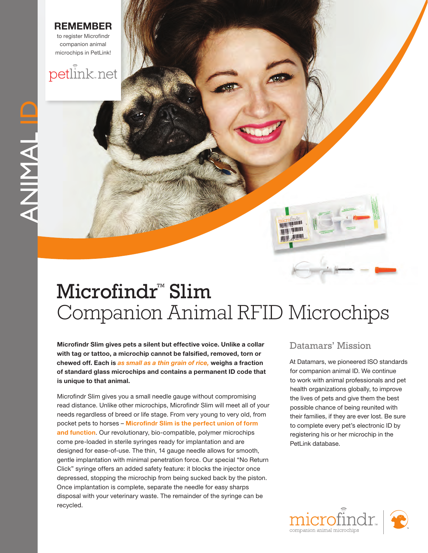#### **Remem ber**

to register Microfindr companion animal microchips in PetLink!

### petlink.net

# ANIMALID ANIMAL ID

## Microfindr<sup>™</sup> Slim Companion Animal RFID Microchips

**Microfindr Slim gives pets a silent but effective voice. Unlike a collar with tag or tattoo, a microchip cannot be falsified, removed, torn or chewed off. Each is** *as small as a thin grain of rice,* **weighs a fraction of standard glass microchips and contains a permanent ID code that is unique to that animal.** 

Microfindr Slim gives you a small needle gauge without compromising read distance. Unlike other microchips, Microfindr Slim will meet all of your needs regardless of breed or life stage. From very young to very old, from pocket pets to horses – **Microfindr Slim is the perfect union of form and function**. Our revolutionary, bio-compatible, polymer microchips come pre-loaded in sterile syringes ready for implantation and are designed for ease-of-use. The thin, 14 gauge needle allows for smooth, gentle implantation with minimal penetration force. Our special "No Return Click" syringe offers an added safety feature: it blocks the injector once depressed, stopping the microchip from being sucked back by the piston. Once implantation is complete, separate the needle for easy sharps disposal with your veterinary waste. The remainder of the syringe can be recycled.

#### Datamars' Mission

**MANITE JANUAL** ant I W

> At Datamars, we pioneered ISO standards for companion animal ID. We continue to work with animal professionals and pet health organizations globally, to improve the lives of pets and give them the best possible chance of being reunited with their families, if they are ever lost. Be sure to complete every pet's electronic ID by registering his or her microchip in the PetLink database.